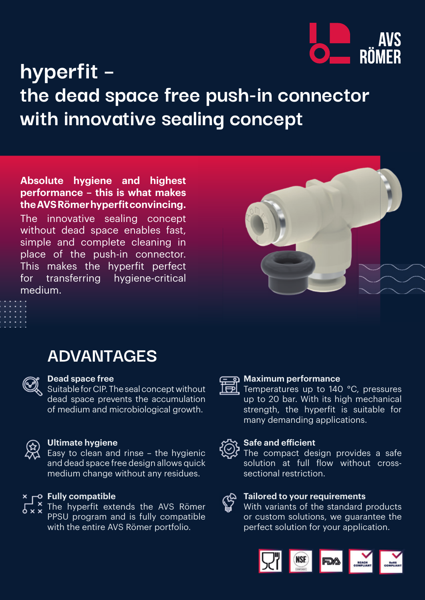

## **hyperfit – the dead space free push-in connector with innovative sealing concept**

**Absolute hygiene and highest performance – this is what makes the AVS Römer hyperfit convincing.**

The innovative sealing concept without dead space enables fast, simple and complete cleaning in place of the push-in connector. This makes the hyperfit perfect for transferring hygiene-critical medium.







#### **Dead space free**

Suitable for CIP. The seal concept without dead space prevents the accumulation of medium and microbiological growth.



#### **Ultimate hygiene**

Easy to clean and rinse – the hygienic and dead space free design allows quick medium change without any residues.

#### $\times$   $\sim$  Fully compatible

 $\frac{x}{y}$  The hyperfit extends the AVS Römer  $5 \times 10^{-11}$ PPSU program and is fully compatible with the entire AVS Römer portfolio.



#### **Maximum performance**

Temperatures up to 140 °C, pressures up to 20 bar. With its high mechanical strength, the hyperfit is suitable for many demanding applications.



#### **Safe and efficient**

The compact design provides a safe solution at full flow without crosssectional restriction.

# **Tailored to your requirements**

With variants of the standard products or custom solutions, we guarantee the perfect solution for your application.